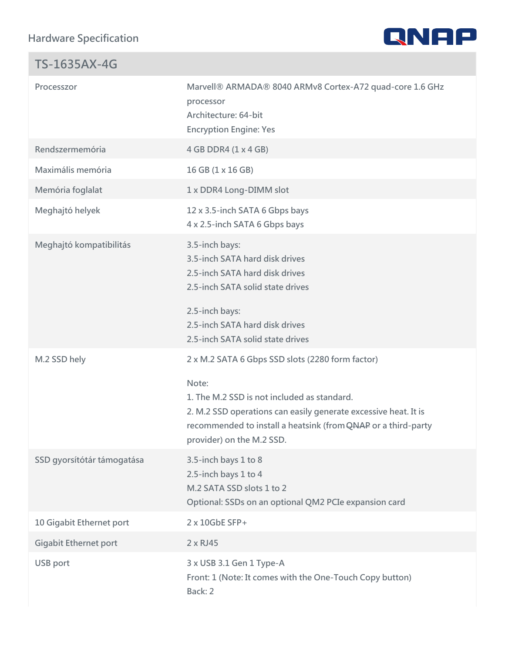Hardware Specification

| $TS - 1635AX - 4G$                            |                                                                                                                                                                                                                                                           |
|-----------------------------------------------|-----------------------------------------------------------------------------------------------------------------------------------------------------------------------------------------------------------------------------------------------------------|
| Processzor                                    | Marvell® ARMADA® 8040 ARMv8 Cortex-A72 quad-core<br>processor<br>Architecture: 64-bit<br>Encryption Engine: Yes                                                                                                                                           |
| Rendszermemória                               | 4 GB DDR4 (1 x 4 GB)                                                                                                                                                                                                                                      |
| Maximális memória                             | 16 GB (1 x 16 GB)                                                                                                                                                                                                                                         |
| Memória foglalat                              | 1 x DDR4 Long-DIMM slot                                                                                                                                                                                                                                   |
| Meghajtó helyek                               | 12 x 3.5-inch SATA 6 Gbps bays<br>4 x 2.5-inch SATA 6 Gbps bays                                                                                                                                                                                           |
| Meghajtó kompatibilitás                       | 3.5-inch bays:<br>3.5-inch SATA hard disk drives<br>2.5-inch SATA hard disk drives<br>2.5-inch SATA solid state drives<br>2.5-inch bays:<br>2.5-inch SATA hard disk drives<br>2.5-inch SATA solid state drives                                            |
| M.2 SSD hely                                  | 2 x M.2 SATA 6 Gbps SSD slots (2280 form factor)<br>Note:<br>1. The M.2 SSD is not included as standard.<br>2. M.2 SSD operations can easily generate excessive h<br>recommended to install a heQaNeAi Fickr (afromind-party<br>provider) on the M.2 SSD. |
| SSD gyorsítótár támogatá 3.5-inch bays 1 to 8 | 2.5-inch bays 1 to 4<br>M.2 SATA SSD slots 1 to 2<br>Optional: SSDs on an optional QM2 PCIe expansion car                                                                                                                                                 |
| 10 Gigabit Ethernet port                      | 2 x 10GbE SFP+                                                                                                                                                                                                                                            |
| Gigabit Ethernet port                         | 2 x RJ45                                                                                                                                                                                                                                                  |
| USB port                                      | 3 x USB 3.1 Gen 1 Type-A<br>Front: 1 (Note: It comes with the One-Touch Copy butto<br>Back: 2                                                                                                                                                             |